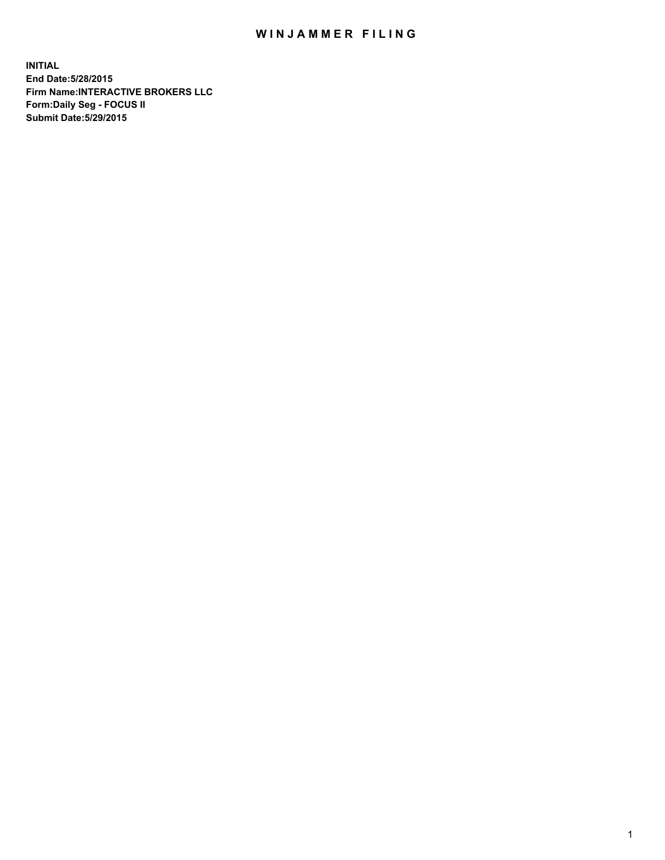## WIN JAMMER FILING

**INITIAL End Date:5/28/2015 Firm Name:INTERACTIVE BROKERS LLC Form:Daily Seg - FOCUS II Submit Date:5/29/2015**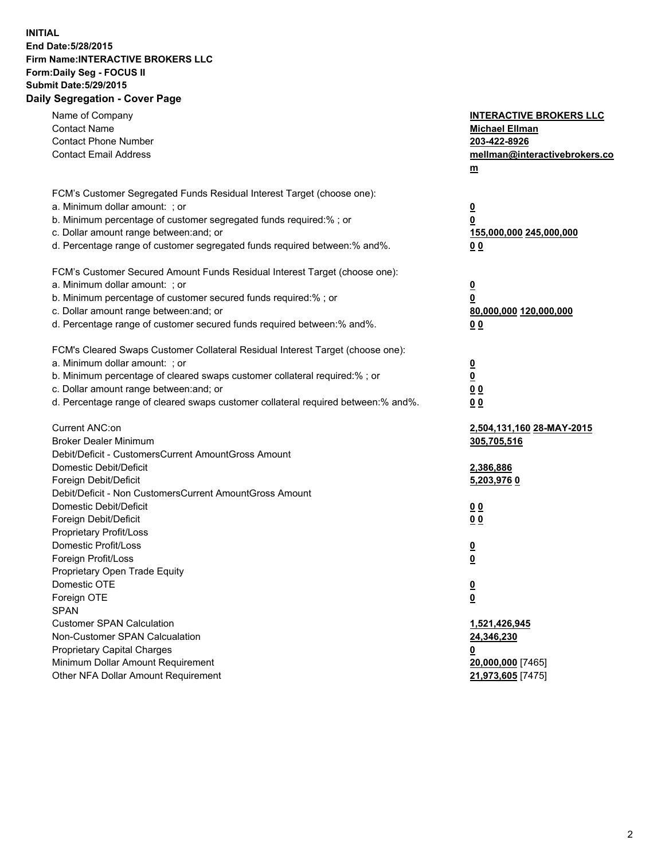## **INITIAL End Date:5/28/2015 Firm Name:INTERACTIVE BROKERS LLC Form:Daily Seg - FOCUS II Submit Date:5/29/2015 Daily Segregation - Cover Page**

| Name of Company<br><b>Contact Name</b>                                            | <b>INTERACTIVE BROKERS LLC</b>                      |
|-----------------------------------------------------------------------------------|-----------------------------------------------------|
| <b>Contact Phone Number</b>                                                       | <b>Michael Ellman</b><br>203-422-8926               |
| <b>Contact Email Address</b>                                                      | mellman@interactivebrokers.co                       |
|                                                                                   |                                                     |
|                                                                                   | $\underline{\mathbf{m}}$                            |
| FCM's Customer Segregated Funds Residual Interest Target (choose one):            |                                                     |
| a. Minimum dollar amount: ; or                                                    | $\overline{\mathbf{0}}$                             |
| b. Minimum percentage of customer segregated funds required:% ; or                | 0                                                   |
| c. Dollar amount range between: and; or                                           | 155,000,000 245,000,000                             |
| d. Percentage range of customer segregated funds required between:% and%.         | 00                                                  |
| FCM's Customer Secured Amount Funds Residual Interest Target (choose one):        |                                                     |
| a. Minimum dollar amount: ; or                                                    | $\overline{\mathbf{0}}$                             |
| b. Minimum percentage of customer secured funds required:% ; or                   | 0                                                   |
| c. Dollar amount range between: and; or                                           | 80,000,000 120,000,000                              |
| d. Percentage range of customer secured funds required between:% and%.            | 00                                                  |
| FCM's Cleared Swaps Customer Collateral Residual Interest Target (choose one):    |                                                     |
| a. Minimum dollar amount: ; or                                                    |                                                     |
| b. Minimum percentage of cleared swaps customer collateral required:% ; or        | $\overline{\mathbf{0}}$<br>$\underline{\mathbf{0}}$ |
| c. Dollar amount range between: and; or                                           |                                                     |
| d. Percentage range of cleared swaps customer collateral required between:% and%. | 0 <sub>0</sub>                                      |
|                                                                                   | 0 <sub>0</sub>                                      |
| Current ANC:on                                                                    | 2,504,131,160 28-MAY-2015                           |
| <b>Broker Dealer Minimum</b>                                                      | 305,705,516                                         |
| Debit/Deficit - CustomersCurrent AmountGross Amount                               |                                                     |
| Domestic Debit/Deficit                                                            | 2,386,886                                           |
| Foreign Debit/Deficit                                                             | 5,203,9760                                          |
| Debit/Deficit - Non CustomersCurrent AmountGross Amount                           |                                                     |
| Domestic Debit/Deficit                                                            | 0 <sub>0</sub>                                      |
| Foreign Debit/Deficit                                                             | 0 <sub>0</sub>                                      |
| Proprietary Profit/Loss                                                           |                                                     |
| Domestic Profit/Loss                                                              | $\overline{\mathbf{0}}$                             |
| Foreign Profit/Loss                                                               | $\underline{\mathbf{0}}$                            |
| Proprietary Open Trade Equity                                                     |                                                     |
| Domestic OTE                                                                      | <u>0</u>                                            |
| Foreign OTE                                                                       | <u>0</u>                                            |
| <b>SPAN</b>                                                                       |                                                     |
| <b>Customer SPAN Calculation</b>                                                  | 1,521,426,945                                       |
| Non-Customer SPAN Calcualation                                                    | 24,346,230                                          |
| <b>Proprietary Capital Charges</b>                                                | <u>0</u>                                            |
| Minimum Dollar Amount Requirement                                                 | 20,000,000 [7465]                                   |
| Other NFA Dollar Amount Requirement                                               | 21,973,605 [7475]                                   |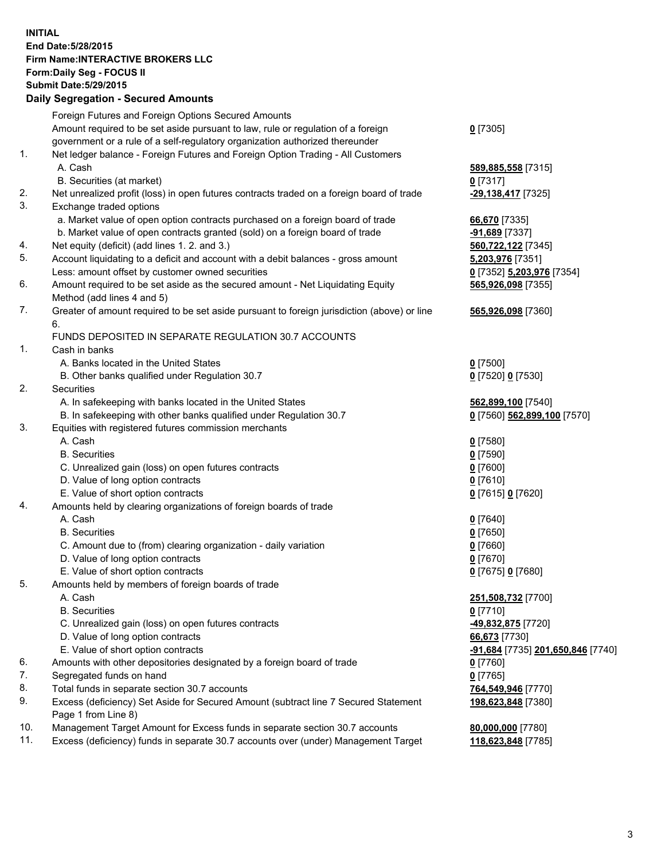## **INITIAL End Date:5/28/2015 Firm Name:INTERACTIVE BROKERS LLC Form:Daily Seg - FOCUS II Submit Date:5/29/2015 Daily Segregation - Secured Amounts**

|     | Foreign Futures and Foreign Options Secured Amounts                                                        |                                   |
|-----|------------------------------------------------------------------------------------------------------------|-----------------------------------|
|     | Amount required to be set aside pursuant to law, rule or regulation of a foreign                           | $0$ [7305]                        |
|     | government or a rule of a self-regulatory organization authorized thereunder                               |                                   |
| 1.  | Net ledger balance - Foreign Futures and Foreign Option Trading - All Customers                            |                                   |
|     | A. Cash                                                                                                    | 589,885,558 [7315]                |
|     | B. Securities (at market)                                                                                  | 0 [7317]                          |
| 2.  | Net unrealized profit (loss) in open futures contracts traded on a foreign board of trade                  | -29,138,417 [7325]                |
| 3.  | Exchange traded options                                                                                    |                                   |
|     | a. Market value of open option contracts purchased on a foreign board of trade                             | 66,670 [7335]                     |
|     | b. Market value of open contracts granted (sold) on a foreign board of trade                               | -91,689 [7337]                    |
| 4.  | Net equity (deficit) (add lines 1.2. and 3.)                                                               | 560,722,122 [7345]                |
| 5.  | Account liquidating to a deficit and account with a debit balances - gross amount                          | 5,203,976 [7351]                  |
|     | Less: amount offset by customer owned securities                                                           | 0 [7352] 5,203,976 [7354]         |
| 6.  | Amount required to be set aside as the secured amount - Net Liquidating Equity                             | 565,926,098 [7355]                |
|     | Method (add lines 4 and 5)                                                                                 |                                   |
| 7.  | Greater of amount required to be set aside pursuant to foreign jurisdiction (above) or line                | 565,926,098 [7360]                |
|     | 6.                                                                                                         |                                   |
|     | FUNDS DEPOSITED IN SEPARATE REGULATION 30.7 ACCOUNTS                                                       |                                   |
| 1.  | Cash in banks                                                                                              |                                   |
|     | A. Banks located in the United States                                                                      | $0$ [7500]                        |
|     | B. Other banks qualified under Regulation 30.7                                                             | 0 [7520] 0 [7530]                 |
| 2.  | Securities                                                                                                 |                                   |
|     | A. In safekeeping with banks located in the United States                                                  | 562,899,100 [7540]                |
|     | B. In safekeeping with other banks qualified under Regulation 30.7                                         | 0 [7560] 562,899,100 [7570]       |
| 3.  | Equities with registered futures commission merchants                                                      |                                   |
|     | A. Cash                                                                                                    | $0$ [7580]                        |
|     | <b>B.</b> Securities                                                                                       | $0$ [7590]                        |
|     | C. Unrealized gain (loss) on open futures contracts                                                        | $0$ [7600]                        |
|     | D. Value of long option contracts                                                                          | $0$ [7610]                        |
|     | E. Value of short option contracts                                                                         | 0 [7615] 0 [7620]                 |
| 4.  | Amounts held by clearing organizations of foreign boards of trade                                          |                                   |
|     | A. Cash                                                                                                    | $0$ [7640]                        |
|     | <b>B.</b> Securities                                                                                       | $0$ [7650]                        |
|     | C. Amount due to (from) clearing organization - daily variation                                            | $0$ [7660]                        |
|     | D. Value of long option contracts                                                                          | $0$ [7670]                        |
|     | E. Value of short option contracts                                                                         | 0 [7675] 0 [7680]                 |
| 5.  |                                                                                                            |                                   |
|     | Amounts held by members of foreign boards of trade<br>A. Cash                                              |                                   |
|     |                                                                                                            | 251,508,732 [7700]                |
|     | <b>B.</b> Securities                                                                                       | $0$ [7710]                        |
|     | C. Unrealized gain (loss) on open futures contracts                                                        | -49,832,875 [7720]                |
|     | D. Value of long option contracts                                                                          | 66,673 [7730]                     |
|     | E. Value of short option contracts                                                                         | -91,684 [7735] 201,650,846 [7740] |
| 6.  | Amounts with other depositories designated by a foreign board of trade                                     | $0$ [7760]                        |
| 7.  | Segregated funds on hand                                                                                   | $0$ [7765]                        |
| 8.  | Total funds in separate section 30.7 accounts                                                              | 764,549,946 [7770]                |
| 9.  | Excess (deficiency) Set Aside for Secured Amount (subtract line 7 Secured Statement<br>Page 1 from Line 8) | 198,623,848 [7380]                |
| 10. | Management Target Amount for Excess funds in separate section 30.7 accounts                                | 80,000,000 [7780]                 |
| 11. | Excess (deficiency) funds in separate 30.7 accounts over (under) Management Target                         | 118,623,848 [7785]                |
|     |                                                                                                            |                                   |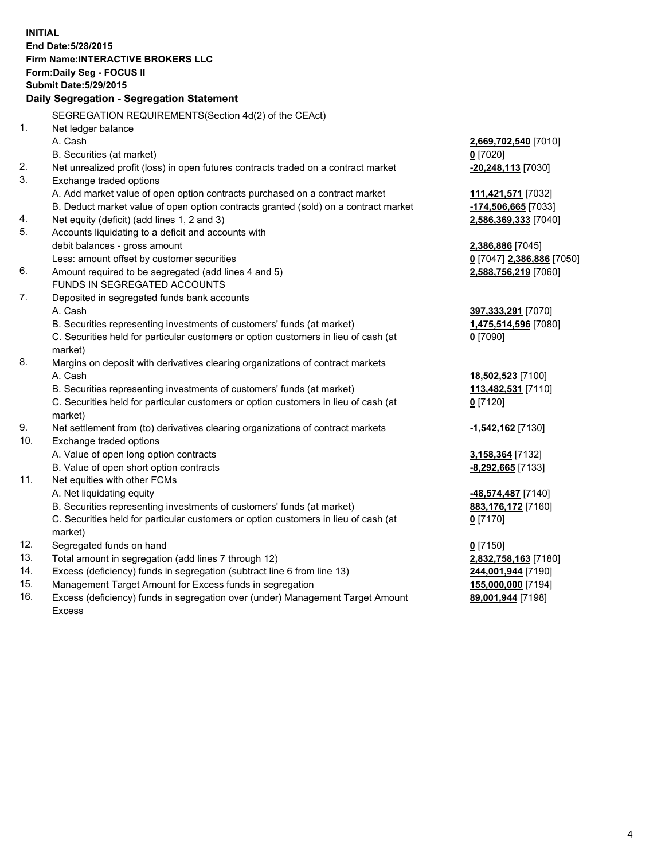**INITIAL End Date:5/28/2015 Firm Name:INTERACTIVE BROKERS LLC Form:Daily Seg - FOCUS II Submit Date:5/29/2015 Daily Segregation - Segregation Statement** SEGREGATION REQUIREMENTS(Section 4d(2) of the CEAct) 1. Net ledger balance A. Cash **2,669,702,540** [7010] B. Securities (at market) **0** [7020] 2. Net unrealized profit (loss) in open futures contracts traded on a contract market **-20,248,113** [7030] 3. Exchange traded options A. Add market value of open option contracts purchased on a contract market **111,421,571** [7032] B. Deduct market value of open option contracts granted (sold) on a contract market **-174,506,665** [7033] 4. Net equity (deficit) (add lines 1, 2 and 3) **2,586,369,333** [7040] 5. Accounts liquidating to a deficit and accounts with debit balances - gross amount **2,386,886** [7045] Less: amount offset by customer securities **0** [7047] **2,386,886** [7050] 6. Amount required to be segregated (add lines 4 and 5) **2,588,756,219** [7060] FUNDS IN SEGREGATED ACCOUNTS 7. Deposited in segregated funds bank accounts A. Cash **397,333,291** [7070] B. Securities representing investments of customers' funds (at market) **1,475,514,596** [7080] C. Securities held for particular customers or option customers in lieu of cash (at market) **0** [7090] 8. Margins on deposit with derivatives clearing organizations of contract markets A. Cash **18,502,523** [7100] B. Securities representing investments of customers' funds (at market) **113,482,531** [7110] C. Securities held for particular customers or option customers in lieu of cash (at market) **0** [7120] 9. Net settlement from (to) derivatives clearing organizations of contract markets **-1,542,162** [7130] 10. Exchange traded options A. Value of open long option contracts **3,158,364** [7132] B. Value of open short option contracts **-8,292,665** [7133] 11. Net equities with other FCMs A. Net liquidating equity **-48,574,487** [7140] B. Securities representing investments of customers' funds (at market) **883,176,172** [7160] C. Securities held for particular customers or option customers in lieu of cash (at market) **0** [7170] 12. Segregated funds on hand **0** [7150] 13. Total amount in segregation (add lines 7 through 12) **2,832,758,163** [7180] 14. Excess (deficiency) funds in segregation (subtract line 6 from line 13) **244,001,944** [7190] 15. Management Target Amount for Excess funds in segregation **155,000,000** [7194]

16. Excess (deficiency) funds in segregation over (under) Management Target Amount Excess

**89,001,944** [7198]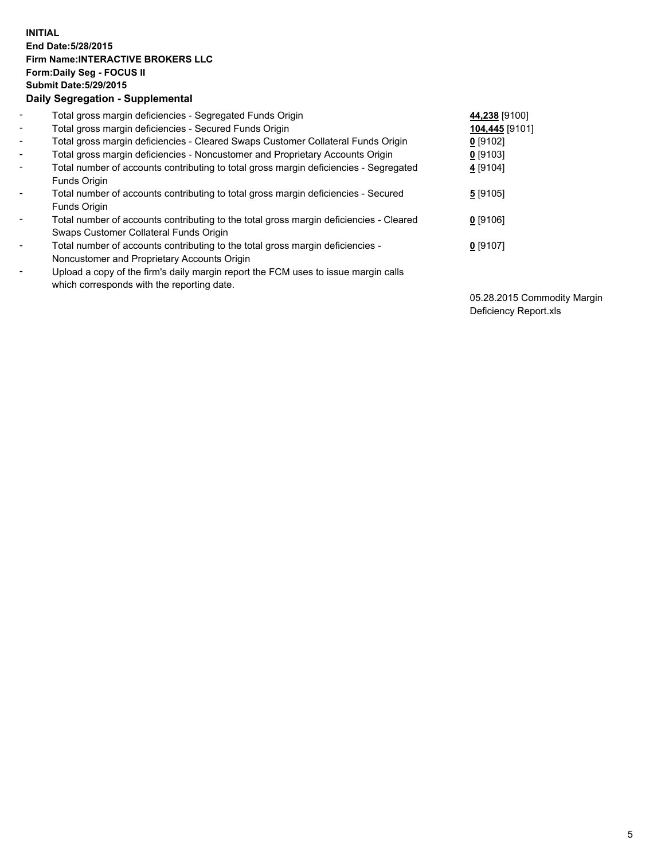## **INITIAL End Date:5/28/2015 Firm Name:INTERACTIVE BROKERS LLC Form:Daily Seg - FOCUS II Submit Date:5/29/2015 Daily Segregation - Supplemental**

| $\blacksquare$           | Total gross margin deficiencies - Segregated Funds Origin                              | 44,238 [9100]  |
|--------------------------|----------------------------------------------------------------------------------------|----------------|
| $\blacksquare$           | Total gross margin deficiencies - Secured Funds Origin                                 | 104,445 [9101] |
| $\blacksquare$           | Total gross margin deficiencies - Cleared Swaps Customer Collateral Funds Origin       | $0$ [9102]     |
| $\blacksquare$           | Total gross margin deficiencies - Noncustomer and Proprietary Accounts Origin          | $0$ [9103]     |
| $\blacksquare$           | Total number of accounts contributing to total gross margin deficiencies - Segregated  | 4 [9104]       |
|                          | Funds Origin                                                                           |                |
| $\blacksquare$           | Total number of accounts contributing to total gross margin deficiencies - Secured     | 5[9105]        |
|                          | Funds Origin                                                                           |                |
| $\overline{\phantom{a}}$ | Total number of accounts contributing to the total gross margin deficiencies - Cleared | $0$ [9106]     |
|                          | Swaps Customer Collateral Funds Origin                                                 |                |
| -                        | Total number of accounts contributing to the total gross margin deficiencies -         | $0$ [9107]     |
|                          | Noncustomer and Proprietary Accounts Origin                                            |                |
| $\blacksquare$           | Upload a copy of the firm's daily margin report the FCM uses to issue margin calls     |                |
|                          | which corresponds with the reporting date.                                             |                |

05.28.2015 Commodity Margin Deficiency Report.xls